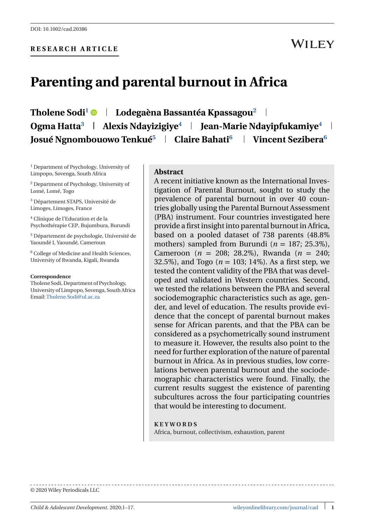## **WILEY**

# **Parenting and parental burnout in Africa**

**Tholene Sodi<sup>1</sup> Lodegaèna Bassantéa Kpassagou<sup>2</sup> Ogma Hatta<sup>3</sup> <b>Alexis Ndayizigiye**<sup>4</sup> **Alexis Ndayipfukamiye**<sup>4</sup> **Alexis Josué Ngnombouowo Tenkué5 Claire Bahati<sup>6</sup> Vincent Sezibera<sup>6</sup>**

<sup>1</sup> Department of Psychology, University of Limpopo, Sovenga, South Africa

<sup>2</sup> Department of Psychology, University of Lomé, Lomé, Togo

<sup>3</sup> Département STAPS, Université de Limoges, Limoges, France

<sup>4</sup> Clinique de l'Education et de la Psychothérapie CEP, Bujumbura, Burundi

<sup>5</sup> Département de psychologie, Université de Yaoundé I, Yaoundé, Cameroun

<sup>6</sup> College of Medicine and Health Sciences, University of Rwanda, Kigali, Rwanda

#### **Correspondence**

Tholene Sodi, Department of Psychology, University of Limpopo, Sovenga, South Africa Email:[Tholene.Sodi@ul.ac.za](mailto:Tholene.Sodi@ul.ac.za)

#### **Abstract**

A recent initiative known as the International Investigation of Parental Burnout, sought to study the prevalence of parental burnout in over 40 countries globally using the Parental Burnout Assessment (PBA) instrument. Four countries investigated here provide a first insight into parental burnout in Africa, based on a pooled dataset of 738 parents (48.8% mothers) sampled from Burundi ( $n = 187$ ; 25.3%), Cameroon (*n* = 208; 28.2%), Rwanda (*n* = 240; 32.5%), and Togo ( $n = 103$ ; 14%). As a first step, we tested the content validity of the PBA that was developed and validated in Western countries. Second, we tested the relations between the PBA and several sociodemographic characteristics such as age, gender, and level of education. The results provide evidence that the concept of parental burnout makes sense for African parents, and that the PBA can be considered as a psychometrically sound instrument to measure it. However, the results also point to the need for further exploration of the nature of parental burnout in Africa. As in previous studies, low correlations between parental burnout and the sociodemographic characteristics were found. Finally, the current results suggest the existence of parenting subcultures across the four participating countries that would be interesting to document.

**KEYWORDS** Africa, burnout, collectivism, exhaustion, parent

© 2020 Wiley Periodicals LLC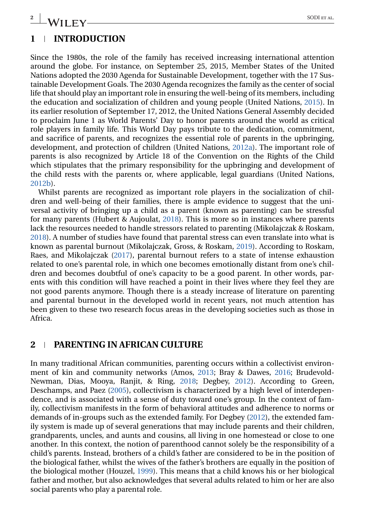# **1 INTRODUCTION**

Since the 1980s, the role of the family has received increasing international attention around the globe. For instance, on September 25, 2015, Member States of the United Nations adopted the 2030 Agenda for Sustainable Development, together with the 17 Sustainable Development Goals. The 2030 Agenda recognizes the family as the center of social life that should play an important role in ensuring the well-being of its members, including the education and socialization of children and young people (United Nations, [2015\)](#page-16-0). In its earlier resolution of September 17, 2012, the United Nations General Assembly decided to proclaim June 1 as World Parents' Day to honor parents around the world as critical role players in family life. This World Day pays tribute to the dedication, commitment, and sacrifice of parents, and recognizes the essential role of parents in the upbringing, development, and protection of children (United Nations, [2012a\)](#page-16-0). The important role of parents is also recognized by Article 18 of the Convention on the Rights of the Child which stipulates that the primary responsibility for the upbringing and development of the child rests with the parents or, where applicable, legal guardians (United Nations, [2012b\)](#page-16-0).

Whilst parents are recognized as important role players in the socialization of children and well-being of their families, there is ample evidence to suggest that the universal activity of bringing up a child as a parent (known as parenting) can be stressful for many parents (Hubert & Aujoulat, [2018\)](#page-15-0). This is more so in instances where parents lack the resources needed to handle stressors related to parenting (Mikolajczak & Roskam, [2018\)](#page-15-0). A number of studies have found that parental stress can even translate into what is known as parental burnout (Mikolajczak, Gross, & Roskam, [2019\)](#page-15-0). According to Roskam, Raes, and Mikolajczak [\(2017\)](#page-15-0), parental burnout refers to a state of intense exhaustion related to one's parental role, in which one becomes emotionally distant from one's children and becomes doubtful of one's capacity to be a good parent. In other words, parents with this condition will have reached a point in their lives where they feel they are not good parents anymore. Though there is a steady increase of literature on parenting and parental burnout in the developed world in recent years, not much attention has been given to these two research focus areas in the developing societies such as those in Africa.

## **2 PARENTING IN AFRICAN CULTURE**

In many traditional African communities, parenting occurs within a collectivist environment of kin and community networks (Amos, [2013;](#page-14-0) Bray & Dawes, [2016;](#page-14-0) Brudevold-Newman, Dias, Mooya, Ranjit, & Ring, [2018;](#page-14-0) Degbey, [2012\)](#page-14-0). According to Green, Deschamps, and Paez [\(2005\)](#page-14-0), collectivism is characterized by a high level of interdependence, and is associated with a sense of duty toward one's group. In the context of family, collectivism manifests in the form of behavioral attitudes and adherence to norms or demands of in-groups such as the extended family. For Degbey [\(2012\)](#page-14-0), the extended family system is made up of several generations that may include parents and their children, grandparents, uncles, and aunts and cousins, all living in one homestead or close to one another. In this context, the notion of parenthood cannot solely be the responsibility of a child's parents. Instead, brothers of a child's father are considered to be in the position of the biological father, whilst the wives of the father's brothers are equally in the position of the biological mother (Houzel, [1999\)](#page-15-0). This means that a child knows his or her biological father and mother, but also acknowledges that several adults related to him or her are also social parents who play a parental role.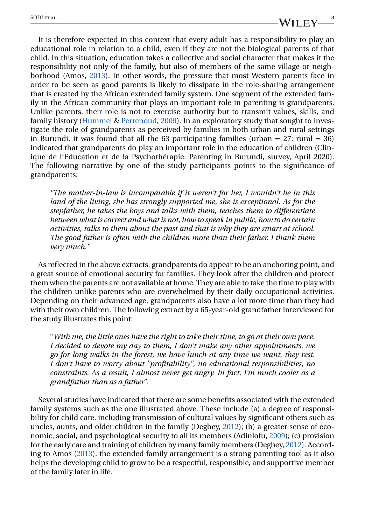It is therefore expected in this context that every adult has a responsibility to play an educational role in relation to a child, even if they are not the biological parents of that child. In this situation, education takes a collective and social character that makes it the responsibility not only of the family, but also of members of the same village or neighborhood (Amos, [2013\)](#page-14-0). In other words, the pressure that most Western parents face in order to be seen as good parents is likely to dissipate in the role-sharing arrangement that is created by the African extended family system. One segment of the extended family in the African community that plays an important role in parenting is grandparents. Unlike parents, their role is not to exercise authority but to transmit values, skills, and family history [\(Hummel](http://Hummel) & [Perrenoud,](http://Perrenoud) [2009\)](#page-15-0). In an exploratory study that sought to investigate the role of grandparents as perceived by families in both urban and rural settings in Burundi, it was found that all the 63 participating families (urban  $= 27$ ; rural  $= 36$ ) indicated that grandparents do play an important role in the education of children (Clinique de l'Education et de la Psychothérapie: Parenting in Burundi, survey, April 2020). The following narrative by one of the study participants points to the significance of grandparents:

*"The mother-in-law is incomparable if it weren't for her, I wouldn't be in this land of the living, she has strongly supported me, she is exceptional. As for the stepfather, he takes the boys and talks with them, teaches them to differentiate between what is correct and what is not, how to speak in public, how to do certain activities, talks to them about the past and that is why they are smart at school. The good father is often with the children more than their father. I thank them very much."*

As reflected in the above extracts, grandparents do appear to be an anchoring point, and a great source of emotional security for families. They look after the children and protect them when the parents are not available at home. They are able to take the time to play with the children unlike parents who are overwhelmed by their daily occupational activities. Depending on their advanced age, grandparents also have a lot more time than they had with their own children. The following extract by a 65-year-old grandfather interviewed for the study illustrates this point:

"*With me, the little ones have the right to take their time, to go at their own pace. I decided to devote my day to them, I don't make any other appointments, we go for long walks in the forest, we have lunch at any time we want, they rest. I don't have to worry about "profitability", no educational responsibilities, no constraints. As a result, I almost never get angry. In fact, I'm much cooler as a grandfather than as a father*".

Several studies have indicated that there are some benefits associated with the extended family systems such as the one illustrated above. These include (a) a degree of responsibility for child care, including transmission of cultural values by significant others such as uncles, aunts, and older children in the family (Degbey, [2012\)](#page-14-0); (b) a greater sense of economic, social, and psychological security to all its members (Adinlofu, [2009\)](#page-14-0); (c) provision for the early care and training of children by many family members (Degbey, [2012\)](#page-14-0). According to Amos [\(2013\)](#page-14-0), the extended family arrangement is a strong parenting tool as it also helps the developing child to grow to be a respectful, responsible, and supportive member of the family later in life.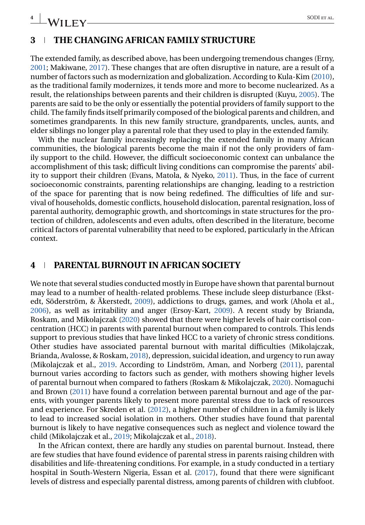## **3 THE CHANGING AFRICAN FAMILY STRUCTURE**

The extended family, as described above, has been undergoing tremendous changes (Erny, [2001;](#page-14-0) Makiwane, [2017\)](#page-15-0). These changes that are often disruptive in nature, are a result of a number of factors such as modernization and globalization. According to Kula-Kim [\(2010\)](#page-15-0), as the traditional family modernizes, it tends more and more to become nuclearized. As a result, the relationships between parents and their children is disrupted (Kuyu, [2005\)](#page-15-0). The parents are said to be the only or essentially the potential providers of family support to the child. The family finds itself primarily composed of the biological parents and children, and sometimes grandparents. In this new family structure, grandparents, uncles, aunts, and elder siblings no longer play a parental role that they used to play in the extended family.

With the nuclear family increasingly replacing the extended family in many African communities, the biological parents become the main if not the only providers of family support to the child. However, the difficult socioeconomic context can unbalance the accomplishment of this task; difficult living conditions can compromise the parents' ability to support their children (Evans, Matola, & Nyeko, [2011\)](#page-14-0). Thus, in the face of current socioeconomic constraints, parenting relationships are changing, leading to a restriction of the space for parenting that is now being redefined. The difficulties of life and survival of households, domestic conflicts, household dislocation, parental resignation, loss of parental authority, demographic growth, and shortcomings in state structures for the protection of children, adolescents and even adults, often described in the literature, become critical factors of parental vulnerability that need to be explored, particularly in the African context.

## **4 PARENTAL BURNOUT IN AFRICAN SOCIETY**

We note that several studies conducted mostly in Europe have shown that parental burnout may lead to a number of health-related problems. These include sleep disturbance (Ekstedt, Söderström, & Äkerstedt, [2009\)](#page-14-0), addictions to drugs, games, and work (Ahola et al., [2006\)](#page-14-0), as well as irritability and anger (Ersoy-Kart, [2009\)](#page-14-0). A recent study by Brianda, Roskam, and Mikolajczak [\(2020\)](#page-14-0) showed that there were higher levels of hair cortisol concentration (HCC) in parents with parental burnout when compared to controls. This lends support to previous studies that have linked HCC to a variety of chronic stress conditions. Other studies have associated parental burnout with marital difficulties (Mikolajczak, Brianda, Avalosse, & Roskam, [2018\)](#page-15-0), depression, suicidal ideation, and urgency to run away (Mikolajczak et al., [2019.](#page-15-0) According to Lindström, Aman, and Norberg [\(2011\)](#page-15-0), parental burnout varies according to factors such as gender, with mothers showing higher levels of parental burnout when compared to fathers (Roskam & Mikolajczak, [2020\)](#page-15-0). Nomaguchi and Brown [\(2011\)](#page-15-0) have found a correlation between parental burnout and age of the parents, with younger parents likely to present more parental stress due to lack of resources and experience. For Skreden et al. [\(2012\)](#page-16-0), a higher number of children in a family is likely to lead to increased social isolation in mothers. Other studies have found that parental burnout is likely to have negative consequences such as neglect and violence toward the child (Mikolajczak et al., [2019;](#page-15-0) Mikolajczak et al., [2018\)](#page-15-0).

In the African context, there are hardly any studies on parental burnout. Instead, there are few studies that have found evidence of parental stress in parents raising children with disabilities and life-threatening conditions. For example, in a study conducted in a tertiary hospital in South-Western Nigeria, Essan et al. [\(2017\)](#page-14-0), found that there were significant levels of distress and especially parental distress, among parents of children with clubfoot.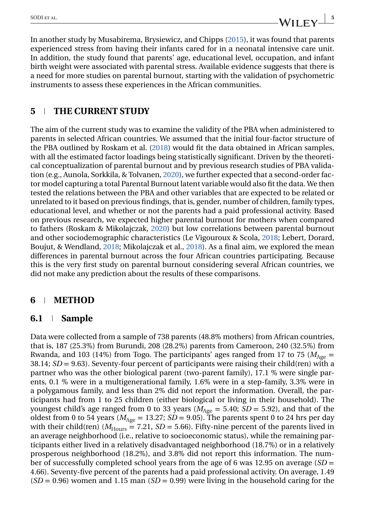In another study by Musabirema, Brysiewicz, and Chipps [\(2015\)](#page-15-0), it was found that parents experienced stress from having their infants cared for in a neonatal intensive care unit. In addition, the study found that parents' age, educational level, occupation, and infant birth weight were associated with parental stress. Available evidence suggests that there is a need for more studies on parental burnout, starting with the validation of psychometric instruments to assess these experiences in the African communities.

## **5 THE CURRENT STUDY**

The aim of the current study was to examine the validity of the PBA when administered to parents in selected African countries. We assumed that the initial four-factor structure of the PBA outlined by Roskam et al. [\(2018\)](#page-15-0) would fit the data obtained in African samples, with all the estimated factor loadings being statistically significant. Driven by the theoretical conceptualization of parental burnout and by previous research studies of PBA validation (e.g., Aunola, Sorkkila, & Tolvanen, [2020\)](#page-14-0), we further expected that a second-order factor model capturing a total Parental Burnout latent variable would also fit the data. We then tested the relations between the PBA and other variables that are expected to be related or unrelated to it based on previous findings, that is, gender, number of children, family types, educational level, and whether or not the parents had a paid professional activity. Based on previous research, we expected higher parental burnout for mothers when compared to fathers (Roskam & Mikolajczak, [2020\)](#page-15-0) but low correlations between parental burnout and other sociodemographic characteristics (Le Vigouroux & Scola, [2018;](#page-15-0) Lebert, Dorard, Boujut, & Wendland, [2018;](#page-15-0) Mikolajczak et al., [2018\)](#page-15-0). As a final aim, we explored the mean differences in parental burnout across the four African countries participating. Because this is the very first study on parental burnout considering several African countries, we did not make any prediction about the results of these comparisons.

## **6 METHOD**

## **6.1 Sample**

Data were collected from a sample of 738 parents (48.8% mothers) from African countries, that is, 187 (25.3%) from Burundi, 208 (28.2%) parents from Cameroon, 240 (32.5%) from Rwanda, and 103 (14%) from Togo. The participants' ages ranged from 17 to 75 ( $M_{\text{Age}} =$ 38.14; *SD* = 9.63). Seventy-four percent of participants were raising their child(ren) with a partner who was the other biological parent (two-parent family), 17.1 % were single parents, 0.1 % were in a multigenerational family, 1.6% were in a step-family, 3.3% were in a polygamous family, and less than 2% did not report the information. Overall, the participants had from 1 to 25 children (either biological or living in their household). The youngest child's age ranged from 0 to 33 years ( $M_{\text{Age}} = 5.40$ ; *SD* = 5.92), and that of the oldest from 0 to 54 years ( $M_{\text{Age}} = 13.27$ ; *SD* = 9.05). The parents spent 0 to 24 hrs per day with their child(ren) ( $M_{\text{Hours}} = 7.21$ , *SD* = 5.66). Fifty-nine percent of the parents lived in an average neighborhood (i.e., relative to socioeconomic status), while the remaining participants either lived in a relatively disadvantaged neighborhood (18.7%) or in a relatively prosperous neighborhood (18.2%), and 3.8% did not report this information. The number of successfully completed school years from the age of 6 was 12.95 on average (*SD* = 4.66). Seventy-five percent of the parents had a paid professional activity. On average, 1.49  $(SD = 0.96)$  women and 1.15 man  $(SD = 0.99)$  were living in the household caring for the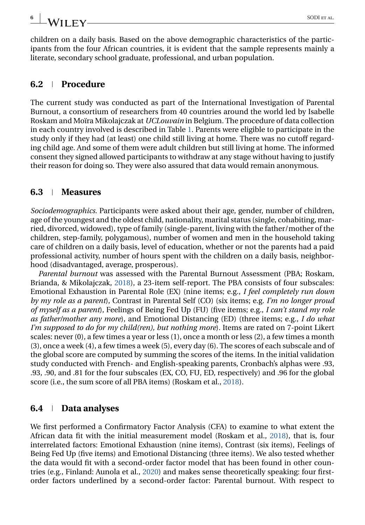### children on a daily basis. Based on the above demographic characteristics of the participants from the four African countries, it is evident that the sample represents mainly a literate, secondary school graduate, professional, and urban population.

## **6.2 Procedure**

The current study was conducted as part of the International Investigation of Parental Burnout, a consortium of researchers from 40 countries around the world led by Isabelle Roskam and Moïra Mikolajczak at *UCLouvain* in Belgium. The procedure of data collection in each country involved is described in Table [1.](#page-6-0) Parents were eligible to participate in the study only if they had (at least) one child still living at home. There was no cutoff regarding child age. And some of them were adult children but still living at home. The informed consent they signed allowed participants to withdraw at any stage without having to justify their reason for doing so. They were also assured that data would remain anonymous.

#### **6.3 Measures**

*Sociodemographics*. Participants were asked about their age, gender, number of children, age of the youngest and the oldest child, nationality, marital status (single, cohabiting, married, divorced, widowed), type of family (single-parent, living with the father/mother of the children, step-family, polygamous), number of women and men in the household taking care of children on a daily basis, level of education, whether or not the parents had a paid professional activity, number of hours spent with the children on a daily basis, neighborhood (disadvantaged, average, prosperous).

*Parental burnout* was assessed with the Parental Burnout Assessment (PBA; Roskam, Brianda, & Mikolajczak, [2018\)](#page-15-0), a 23-item self-report. The PBA consists of four subscales: Emotional Exhaustion in Parental Role (EX) (nine items; e.g., *I feel completely run down by my role as a parent*), Contrast in Parental Self (CO) (six items; e.g. *I'm no longer proud of myself as a parent*), Feelings of Being Fed Up (FU) (five items; e.g., *I can't stand my role as father/mother any more*), and Emotional Distancing (ED) (three items; e.g., *I do what I'm supposed to do for my child(ren), but nothing more*). Items are rated on 7-point Likert scales: never (0), a few times a year or less (1), once a month or less (2), a few times a month (3), once a week (4), a few times a week (5), every day (6). The scores of each subscale and of the global score are computed by summing the scores of the items. In the initial validation study conducted with French- and English-speaking parents, Cronbach's alphas were .93, .93, .90, and .81 for the four subscales (EX, CO, FU, ED, respectively) and .96 for the global score (i.e., the sum score of all PBA items) (Roskam et al., [2018\)](#page-15-0).

#### **6.4 Data analyses**

We first performed a Confirmatory Factor Analysis (CFA) to examine to what extent the African data fit with the initial measurement model (Roskam et al., [2018\)](#page-15-0), that is, four interrelated factors: Emotional Exhaustion (nine items), Contrast (six items), Feelings of Being Fed Up (five items) and Emotional Distancing (three items). We also tested whether the data would fit with a second-order factor model that has been found in other countries (e.g., Finland: Aunola et al., [2020\)](#page-14-0) and makes sense theoretically speaking: four firstorder factors underlined by a second-order factor: Parental burnout. With respect to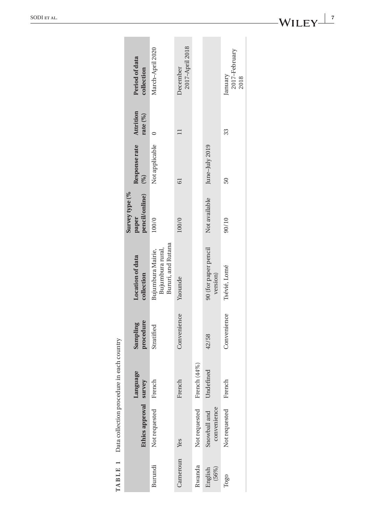| Period of data<br>collection              | March-April 2020                                            | 2017-April 2018<br>December |                  |                                  | 2017-February<br>January<br>2018 |
|-------------------------------------------|-------------------------------------------------------------|-----------------------------|------------------|----------------------------------|----------------------------------|
| Attrition<br>rate (%)                     |                                                             |                             |                  |                                  | 33                               |
| Response rate<br>$(\%)$                   | Not applicable                                              | 61                          |                  | June-July 2019                   | $50\,$                           |
| Survey type (%<br>pencil/online)<br>paper | 100/0                                                       | 100/0                       |                  | Not available                    | 90/10                            |
| Location of data<br>collection            | Bururi, and Rutana<br>Bujumbura rural,<br>Bujumbura Mairie, | Yaounde                     |                  | 90 (for paper pencil<br>version) | Tsévié, Lomé                     |
| procedure<br>Sampling                     | Stratified                                                  | Convenience                 |                  | 42/58                            | Convenience                      |
| Language                                  | French                                                      | French                      | (44%<br>French ( | Undefined                        | French                           |
| Ethics approval survey                    | Not requested                                               | Yes                         | Not requested    | Snowball and<br>convenience      | Not requested                    |
|                                           | Burundi                                                     | Cameroun                    | Rwanda           | (56%)<br>English                 | Togo                             |

TABLE 1 Data collection procedure in each country **TABLE 1** Data collection procedure in each country

<span id="page-6-0"></span>×

۰

ï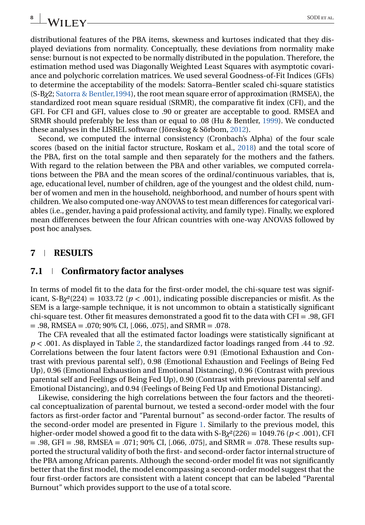distributional features of the PBA items, skewness and kurtoses indicated that they displayed deviations from normality. Conceptually, these deviations from normality make sense: burnout is not expected to be normally distributed in the population. Therefore, the estimation method used was Diagonally Weighted Least Squares with asymptotic covariance and polychoric correlation matrices. We used several Goodness-of-Fit Indices (GFIs) to determine the acceptability of the models: Satorra–Bentler scaled chi-square statistics (S-B*χ*2; [Satorra & Bentler,1994\)](#page-15-0), the root mean square error of approximation (RMSEA), the standardized root mean square residual (SRMR), the comparative fit index (CFI), and the GFI. For CFI and GFI, values close to .90 or greater are acceptable to good. RMSEA and SRMR should preferably be less than or equal to .08 (Hu & Bentler, [1999\)](#page-15-0). We conducted these analyses in the LISREL software (Jöreskog & Sörbom, [2012\)](#page-15-0).

Second, we computed the internal consistency (Cronbach's Alpha) of the four scale scores (based on the initial factor structure, Roskam et al., [2018\)](#page-15-0) and the total score of the PBA, first on the total sample and then separately for the mothers and the fathers. With regard to the relation between the PBA and other variables, we computed correlations between the PBA and the mean scores of the ordinal/continuous variables, that is, age, educational level, number of children, age of the youngest and the oldest child, number of women and men in the household, neighborhood, and number of hours spent with children. We also computed one-way ANOVAS to test mean differences for categorical variables (i.e., gender, having a paid professional activity, and family type). Finally, we explored mean differences between the four African countries with one-way ANOVAS followed by post hoc analyses.

#### **7 RESULTS**

#### **7.1 Confirmatory factor analyses**

In terms of model fit to the data for the first-order model, the chi-square test was significant, S-B $\chi^2(224) = 1033.72$  ( $p < .001$ ), indicating possible discrepancies or misfit. As the SEM is a large-sample technique, it is not uncommon to obtain a statistically significant chi-square test. Other fit measures demonstrated a good fit to the data with  $CFI = .98$ , GFI  $= .98$ , RMSEA  $= .070$ ; 90% CI, [.066, .075], and SRMR  $= .078$ .

The CFA revealed that all the estimated factor loadings were statistically significant at *p* < .001. As displayed in Table [2,](#page-8-0) the standardized factor loadings ranged from .44 to .92. Correlations between the four latent factors were 0.91 (Emotional Exhaustion and Contrast with previous parental self ), 0.98 (Emotional Exhaustion and Feelings of Being Fed Up), 0.96 (Emotional Exhaustion and Emotional Distancing), 0.96 (Contrast with previous parental self and Feelings of Being Fed Up), 0.90 (Contrast with previous parental self and Emotional Distancing), and 0.94 (Feelings of Being Fed Up and Emotional Distancing).

Likewise, considering the high correlations between the four factors and the theoretical conceptualization of parental burnout, we tested a second-order model with the four factors as first-order factor and "Parental burnout" as second-order factor. The results of the second-order model are presented in Figure [1.](#page-9-0) Similarly to the previous model, this higher-order model showed a good fit to the data with  $S-B\chi^2(226) = 1049.76$  ( $p < .001$ ), CFI  $= .98$ , GFI  $= .98$ , RMSEA  $= .071$ ; 90% CI, [.066, .075], and SRMR  $= .078$ . These results supported the structural validity of both the first- and second-order factor internal structure of the PBA among African parents. Although the second-order model fit was not significantly better that the first model, the model encompassing a second-order model suggest that the four first-order factors are consistent with a latent concept that can be labeled "Parental Burnout" which provides support to the use of a total score.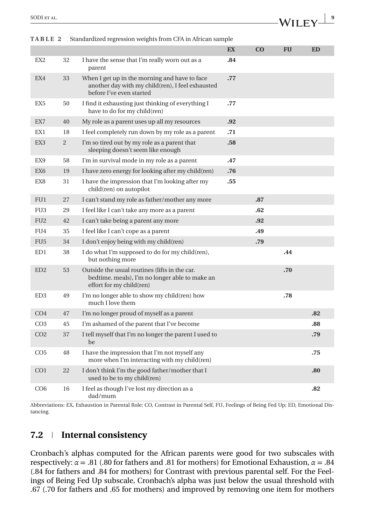|                 |                | $1 \text{ A} \text{ B}$ $\mu$ $\mu$ $\mu$ or contracted regression weights from CFA in Affican sample                         |     |     |           |           |
|-----------------|----------------|-------------------------------------------------------------------------------------------------------------------------------|-----|-----|-----------|-----------|
|                 |                |                                                                                                                               | EX  | CO  | <b>FU</b> | <b>ED</b> |
| EX <sub>2</sub> | 32             | I have the sense that I'm really worn out as a<br>parent                                                                      | .84 |     |           |           |
| EX4             | 33             | When I get up in the morning and have to face<br>another day with my child(ren), I feel exhausted<br>before I've even started | .77 |     |           |           |
| EX <sub>5</sub> | 50             | I find it exhausting just thinking of everything I<br>have to do for my child(ren)                                            | .77 |     |           |           |
| EX7             | 40             | My role as a parent uses up all my resources                                                                                  | .92 |     |           |           |
| EX1             | 18             | I feel completely run down by my role as a parent                                                                             | .71 |     |           |           |
| EX <sub>3</sub> | $\overline{2}$ | I'm so tired out by my role as a parent that<br>sleeping doesn't seem like enough                                             | .58 |     |           |           |
| EX9             | 58             | I'm in survival mode in my role as a parent                                                                                   | .47 |     |           |           |
| EX <sub>6</sub> | 19             | I have zero energy for looking after my child(ren)                                                                            | .76 |     |           |           |
| EX <sub>8</sub> | 31             | I have the impression that I'm looking after my<br>child(ren) on autopilot                                                    | .55 |     |           |           |
| FU1             | 27             | I can't stand my role as father/mother any more                                                                               |     | .87 |           |           |
| FU <sub>3</sub> | 29             | I feel like I can't take any more as a parent                                                                                 |     | .62 |           |           |
| FU <sub>2</sub> | 42             | I can't take being a parent any more                                                                                          |     | .92 |           |           |
| FU <sub>4</sub> | 35             | I feel like I can't cope as a parent                                                                                          |     | .49 |           |           |
| FU <sub>5</sub> | 34             | I don't enjoy being with my child(ren)                                                                                        |     | .79 |           |           |
| ED1             | 38             | I do what I'm supposed to do for my child(ren),<br>but nothing more                                                           |     |     | .44       |           |
| ED <sub>2</sub> | 53             | Outside the usual routines (lifts in the car.<br>bedtime. meals), I'm no longer able to make an<br>effort for my child(ren)   |     |     | .70       |           |
| ED <sub>3</sub> | 49             | I'm no longer able to show my child(ren) how<br>much I love them                                                              |     |     | .78       |           |
| CO <sub>4</sub> | 47             | I'm no longer proud of myself as a parent                                                                                     |     |     |           | .82       |
| CO <sub>3</sub> | 45             | I'm ashamed of the parent that I've become                                                                                    |     |     |           | .88       |
| CO <sub>2</sub> | 37             | I tell myself that I'm no longer the parent I used to<br>be                                                                   |     |     |           | .79       |
| CO <sub>5</sub> | 48             | I have the impression that I'm not myself any<br>more when I'm interacting with my child(ren)                                 |     |     |           | .75       |
| CO <sub>1</sub> | 22             | I don't think I'm the good father/mother that I<br>used to be to my child(ren)                                                |     |     |           | .80       |
| CO <sub>6</sub> | 16             | I feel as though I've lost my direction as a<br>dad/mum                                                                       |     |     |           | .82       |

<span id="page-8-0"></span>

| TABLE 2 | Standardized regression weights from CFA in African sample |  |  |  |
|---------|------------------------------------------------------------|--|--|--|
|---------|------------------------------------------------------------|--|--|--|

Abbreviations: EX, Exhaustion in Parental Role; CO, Contrast in Parental Self, FU, Feelings of Being Fed Up; ED, Emotional Distancing.

## **7.2 Internal consistency**

Cronbach's alphas computed for the African parents were good for two subscales with respectively:  $\alpha = .81$  (.80 for fathers and .81 for mothers) for Emotional Exhaustion,  $\alpha = .84$ (.84 for fathers and .84 for mothers) for Contrast with previous parental self. For the Feelings of Being Fed Up subscale, Cronbach's alpha was just below the usual threshold with .67 (.70 for fathers and .65 for mothers) and improved by removing one item for mothers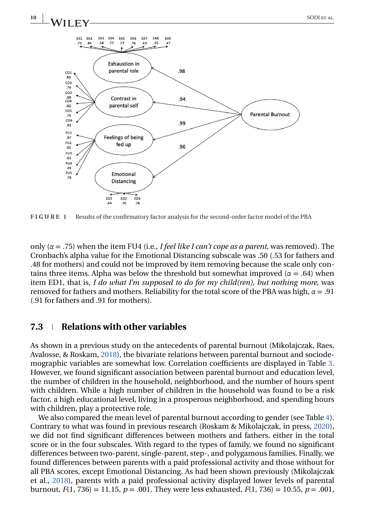<span id="page-9-0"></span>

**FIGURE 1** Results of the confirmatory factor analysis for the second-order factor model of the PBA

only (*α* = .75) when the item FU4 (i.e., *I feel like I can't cope as a parent*, was removed). The Cronbach's alpha value for the Emotional Distancing subscale was .50 (.53 for fathers and .48 for mothers) and could not be improved by item removing because the scale only contains three items. Alpha was below the threshold but somewhat improved ( $\alpha = .64$ ) when item ED1, that is, *I do what I'm supposed to do for my child(ren), but nothing more*, was removed for fathers and mothers. Reliability for the total score of the PBA was high,  $\alpha = .91$ (.91 for fathers and .91 for mothers).

## **7.3 Relations with other variables**

ED1 ED<sub>2</sub> ED3

 $A<sub>4</sub>$  $.70$  $.78$ 

As shown in a previous study on the antecedents of parental burnout (Mikolajczak, Raes, Avalosse, & Roskam, [2018\)](#page-15-0), the bivariate relations between parental burnout and sociodemographic variables are somewhat low. Correlation coefficients are displayed in Table [3.](#page-10-0) However, we found significant association between parental burnout and education level, the number of children in the household, neighborhood, and the number of hours spent with children. While a high number of children in the household was found to be a risk factor, a high educational level, living in a prosperous neighborhood, and spending hours with children, play a protective role.

We also compared the mean level of parental burnout according to gender (see Table [4\)](#page-11-0). Contrary to what was found in previous research (Roskam & Mikolajczak, in press, [2020\)](#page-15-0), we did not find significant differences between mothers and fathers, either in the total score or in the four subscales. With regard to the types of family, we found no significant differences between two-parent, single-parent, step-, and polygamous families. Finally, we found differences between parents with a paid professional activity and those without for all PBA scores, except Emotional Distancing. As had been shown previously (Mikolajczak et al., [2018\)](#page-15-0), parents with a paid professional activity displayed lower levels of parental burnout,  $F(1, 736) = 11.15$ ,  $p = .001$ . They were less exhausted,  $F(1, 736) = 10.55$ ,  $p = .001$ ,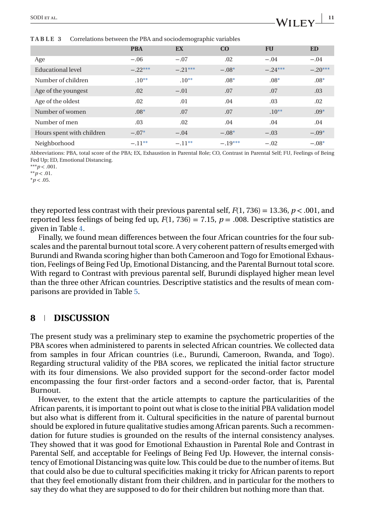<span id="page-10-0"></span>

| TABLE 3 | Correlations between the PBA and sociodemographic variables |  |
|---------|-------------------------------------------------------------|--|
|---------|-------------------------------------------------------------|--|

|                           | <b>PBA</b> | EX       | $\bf CO$  | <b>FU</b> | ED        |
|---------------------------|------------|----------|-----------|-----------|-----------|
| Age                       | $-.06$     | $-.07$   | .02       | $-.04$    | $-.04$    |
| <b>Educational level</b>  | $-22***$   | $-21***$ | $-.08*$   | $-.24***$ | $-.20***$ |
| Number of children        | $.10**$    | $.10**$  | $.08*$    | $.08*$    | $.08*$    |
| Age of the youngest       | .02        | $-.01$   | .07       | .07       | .03       |
| Age of the oldest         | .02        | .01      | .04       | .03       | .02       |
| Number of women           | $.08*$     | .07      | .07       | $.10**$   | $.09*$    |
| Number of men             | .03        | .02      | .04       | .04       | .04       |
| Hours spent with children | $-.07*$    | $-.04$   | $-.08*$   | $-.03$    | $-.09*$   |
| Neighborhood              | $-.11**$   | $-.11**$ | $-.19***$ | $-.02$    | $-.08*$   |

Abbreviations: PBA, total score of the PBA; EX, Exhaustion in Parental Role; CO, Contrast in Parental Self; FU, Feelings of Being Fed Up; ED, Emotional Distancing.

\*\*\**p* < .001.

 $*$ *\*p* < .01.

 $*p < .05$ .

they reported less contrast with their previous parental self,  $F(1, 736) = 13.36$ ,  $p < .001$ , and reported less feelings of being fed up,  $F(1, 736) = 7.15$ ,  $p = .008$ . Descriptive statistics are given in Table [4.](#page-11-0)

Finally, we found mean differences between the four African countries for the four subscales and the parental burnout total score. A very coherent pattern of results emerged with Burundi and Rwanda scoring higher than both Cameroon and Togo for Emotional Exhaustion, Feelings of Being Fed Up, Emotional Distancing, and the Parental Burnout total score. With regard to Contrast with previous parental self, Burundi displayed higher mean level than the three other African countries. Descriptive statistics and the results of mean comparisons are provided in Table [5.](#page-12-0)

## **8 DISCUSSION**

The present study was a preliminary step to examine the psychometric properties of the PBA scores when administered to parents in selected African countries. We collected data from samples in four African countries (i.e., Burundi, Cameroon, Rwanda, and Togo). Regarding structural validity of the PBA scores, we replicated the initial factor structure with its four dimensions. We also provided support for the second-order factor model encompassing the four first-order factors and a second-order factor, that is, Parental Burnout.

However, to the extent that the article attempts to capture the particularities of the African parents, it is important to point out what is close to the initial PBA validation model but also what is different from it. Cultural specificities in the nature of parental burnout should be explored in future qualitative studies among African parents. Such a recommendation for future studies is grounded on the results of the internal consistency analyses. They showed that it was good for Emotional Exhaustion in Parental Role and Contrast in Parental Self, and acceptable for Feelings of Being Fed Up. However, the internal consistency of Emotional Distancing was quite low. This could be due to the number of items. But that could also be due to cultural specificities making it tricky for African parents to report that they feel emotionally distant from their children, and in particular for the mothers to say they do what they are supposed to do for their children but nothing more than that.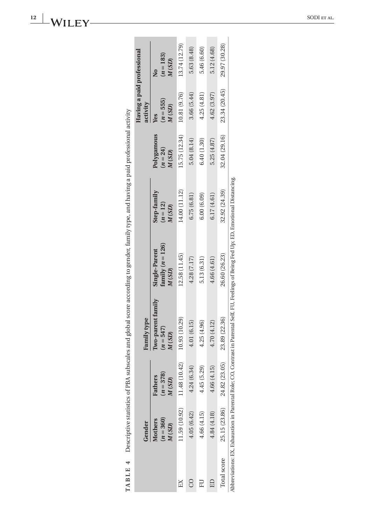<span id="page-11-0"></span>

|             | Gender                          |                                 | Family type                                                                                                                            |                                              |                                    |                                   | Having a paid professional<br>activity |                      |
|-------------|---------------------------------|---------------------------------|----------------------------------------------------------------------------------------------------------------------------------------|----------------------------------------------|------------------------------------|-----------------------------------|----------------------------------------|----------------------|
|             | $(n = 360)$<br>Mothers<br>M(SD) | $(n = 378)$<br>Fathers<br>M(SD) | Iwo-parent family<br>$(n = 547)$<br>M(SD)                                                                                              | family $(n = 126)$<br>Single-Parent<br>M(SD) | Step-family<br>$(n = 12)$<br>M(SD) | Polygamous<br>$(n = 24)$<br>M(SD) | $(n = 555)$<br>M(SD)<br>Yes            | $(n = 183)$<br>M(SD) |
| $_{\rm EX}$ | 11.59 (10.92)                   | 11.48 (10.42)                   | 10.93 (10.29)                                                                                                                          | 12.58 (11.45)                                | 14.00 (11.12)                      | 15.75 (12.34)                     | 10.81 (9.76)                           | 13.74 (12.79)        |
| $\infty$    | 4.05 (6.42)                     | 4.24 (6.34)                     | 4.01 (6.15)                                                                                                                            | 4.28 (7.17)                                  | 6.75(6.81)                         | 5.04(8.14)                        | 3.66 (5.44)                            | 5.63 (8.48)          |
| E           | 4.66 (4.15)                     | 4.45 (5.29)                     | 4.25 (4.96)                                                                                                                            | 5.13 (6.31)                                  | 6.00(6.09)                         | 6.40 (1.30)                       | 4.25(4.81)                             | 5.46 (6.60)          |
| ED          | 4.84(4.18)                      | 4.66 (4.15)                     | 4.70 (4.12)                                                                                                                            | 4.66 (4.61)                                  | 6.17(4.61)                         | 5.25(4.87)                        | 4.62 (3.97)                            | 5.12 (4.68)          |
| Total score | 25.15 (23.86)                   | 24.82 (23.05)                   | 23.89 (22.36)                                                                                                                          | 26.60 (26.23)                                | 32.92 (24.39)                      | 32.04 (29.16)                     | 23.34 (20.45)                          | 29.97 (30.28)        |
|             |                                 |                                 | Abbreviations: EX, Exhaustion in Parental Role; CO, Contrast in Parental Self, FU, Feelings of Being Fed Up; ED, Emotional Distancing. |                                              |                                    |                                   |                                        |                      |

 $\begin{array}{c} \hline \end{array}$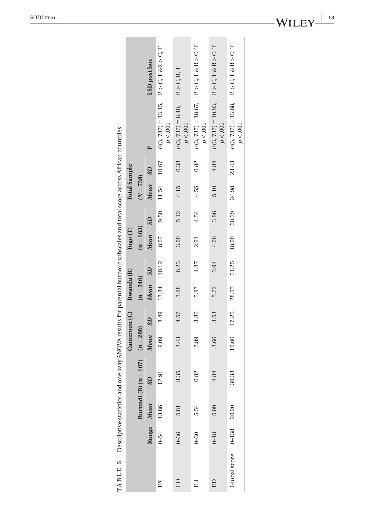<span id="page-12-0"></span>

| <b>TABLE 5</b> Descriptive statistics and one-way ANOVA results for parental burnout subscales and total score across African countries | <b>Total Sample</b><br>Togo (T)<br>Rwanda (R)<br>Cameroon (C) | $(N = 738)$<br>$(n = 103)$<br>$(n = 240)$<br>$(n = 208)$ | LSD post hoc<br>圧<br>SD<br><b>Mean</b><br>Mean SD<br>SD<br>Mean<br>Mean SD<br>SD | $F(3, 737) = 13.15$ , $B > C$ , $T & RR > C$ , $T$<br>$p<.001$<br>10.67<br>11.54<br>9.50<br>8.07<br>10.12<br>13.34<br>8.49<br>9.09<br>12.91 | $B > C, R, T$<br>$F(3, 737) = 6.40,$<br>$p < .001$<br>6.38<br>4.15<br>5.12<br>3.00<br>6.23<br>3.98<br>4.57<br>3.43<br>8.3 | $F(3, 737) = 18.67$ , $B > C$ , $T & R$ R > C, $T$<br>$p<.001$<br>6.82<br>4.55<br>4.54<br>2.91<br>4.87<br>5.93<br>3.86<br>2.89<br>$\frac{8}{3}$ | $F(3, 737) = 10.93, B > C, T & R > C, T$<br>$p < .001$<br>4.84<br>5.10<br>3.96<br>4.06<br>3.94<br>5.72<br>3.53<br>3.66<br>$\frac{8}{4}$ | $F(3, 737) = 13.68$ , $B > C, T & R > C, T$<br>p < .001<br>23.43<br>24.98<br>20.29<br>18.00<br>21.25<br>28.97<br>17.26<br>19.06<br>œ<br>30.38 |
|-----------------------------------------------------------------------------------------------------------------------------------------|---------------------------------------------------------------|----------------------------------------------------------|----------------------------------------------------------------------------------|---------------------------------------------------------------------------------------------------------------------------------------------|---------------------------------------------------------------------------------------------------------------------------|-------------------------------------------------------------------------------------------------------------------------------------------------|-----------------------------------------------------------------------------------------------------------------------------------------|-----------------------------------------------------------------------------------------------------------------------------------------------|
|                                                                                                                                         |                                                               |                                                          |                                                                                  |                                                                                                                                             |                                                                                                                           |                                                                                                                                                 |                                                                                                                                         |                                                                                                                                               |
|                                                                                                                                         |                                                               | Burundi (B) $(n = 187)$                                  | <b>Mean</b><br>Range                                                             | 13.86<br>$0 - 54$                                                                                                                           | 5.81<br>$0 - 36$                                                                                                          | 5.54<br>$0 - 30$                                                                                                                                | 5.09<br>$0 - 18$                                                                                                                        | 20.20                                                                                                                                         |
|                                                                                                                                         |                                                               |                                                          |                                                                                  | EX                                                                                                                                          | S                                                                                                                         | EU                                                                                                                                              | ED                                                                                                                                      | Global score 0-138                                                                                                                            |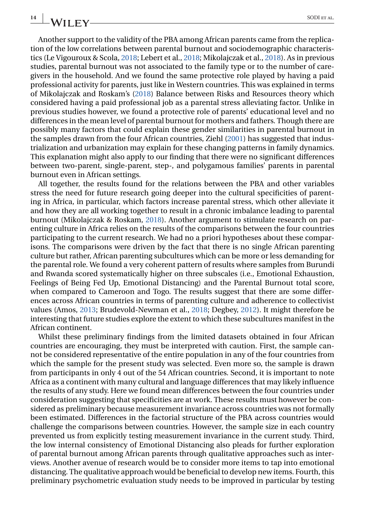Another support to the validity of the PBA among African parents came from the replication of the low correlations between parental burnout and sociodemographic characteristics (Le Vigouroux & Scola, [2018;](#page-15-0) Lebert et al., [2018;](#page-15-0) Mikolajczak et al., [2018\)](#page-15-0). As in previous studies, parental burnout was not associated to the family type or to the number of caregivers in the household. And we found the same protective role played by having a paid professional activity for parents, just like in Western countries. This was explained in terms of Mikolajczak and Roskam's [\(2018\)](#page-15-0) Balance between Risks and Resources theory which considered having a paid professional job as a parental stress alleviating factor. Unlike in previous studies however, we found a protective role of parents' educational level and no differences in the mean level of parental burnout for mothers and fathers. Though there are possibly many factors that could explain these gender similarities in parental burnout in the samples drawn from the four African countries, Ziehl [\(2001\)](#page-16-0) has suggested that industrialization and urbanization may explain for these changing patterns in family dynamics. This explanation might also apply to our finding that there were no significant differences between two-parent, single-parent, step-, and polygamous families' parents in parental burnout even in African settings.

All together, the results found for the relations between the PBA and other variables stress the need for future research going deeper into the cultural specificities of parenting in Africa, in particular, which factors increase parental stress, which other alleviate it and how they are all working together to result in a chronic imbalance leading to parental burnout (Mikolajczak & Roskam, [2018\)](#page-15-0). Another argument to stimulate research on parenting culture in Africa relies on the results of the comparisons between the four countries participating to the current research. We had no a priori hypotheses about these comparisons. The comparisons were driven by the fact that there is no single African parenting culture but rather, African parenting subcultures which can be more or less demanding for the parental role. We found a very coherent pattern of results where samples from Burundi and Rwanda scored systematically higher on three subscales (i.e., Emotional Exhaustion, Feelings of Being Fed Up, Emotional Distancing) and the Parental Burnout total score, when compared to Cameroon and Togo. The results suggest that there are some differences across African countries in terms of parenting culture and adherence to collectivist values (Amos, [2013;](#page-14-0) Brudevold-Newman et al., [2018;](#page-14-0) Degbey, [2012\)](#page-14-0). It might therefore be interesting that future studies explore the extent to which these subcultures manifest in the African continent.

Whilst these preliminary findings from the limited datasets obtained in four African countries are encouraging, they must be interpreted with caution. First, the sample cannot be considered representative of the entire population in any of the four countries from which the sample for the present study was selected. Even more so, the sample is drawn from participants in only 4 out of the 54 African countries. Second, it is important to note Africa as a continent with many cultural and language differences that may likely influence the results of any study. Here we found mean differences between the four countries under consideration suggesting that specificities are at work. These results must however be considered as preliminary because measurement invariance across countries was not formally been estimated. Differences in the factorial structure of the PBA across countries would challenge the comparisons between countries. However, the sample size in each country prevented us from explicitly testing measurement invariance in the current study. Third, the low internal consistency of Emotional Distancing also pleads for further exploration of parental burnout among African parents through qualitative approaches such as interviews. Another avenue of research would be to consider more items to tap into emotional distancing. The qualitative approach would be beneficial to develop new items. Fourth, this preliminary psychometric evaluation study needs to be improved in particular by testing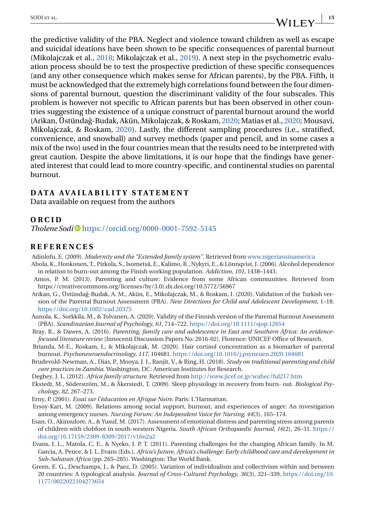<span id="page-14-0"></span>the predictive validity of the PBA. Neglect and violence toward children as well as escape and suicidal ideations have been shown to be specific consequences of parental burnout (Mikolajczak et al., [2018;](#page-15-0) Mikolajczak et al., [2019\)](#page-15-0). A next step in the psychometric evaluation process should be to test the prospective prediction of these specific consequences (and any other consequence which makes sense for African parents), by the PBA. Fifth, it must be acknowledged that the extremely high correlations found between the four dimensions of parental burnout, question the discriminant validity of the four subscales. This problem is however not specific to African parents but has been observed in other countries suggesting the existence of a unique construct of parental burnout around the world (Arikan, Üstündag-Budak, Akün, Mikolajczak, & Roskam, ˘ 2020; Matias et al., [2020;](#page-15-0) Mousavi, Mikolajczak, & Roskam, [2020\)](#page-15-0). Lastly, the different sampling procedures (i.e., stratified, convenience, and snowball) and survey methods (paper and pencil, and in some cases a mix of the two) used in the four countries mean that the results need to be interpreted with great caution. Despite the above limitations, it is our hope that the findings have generated interest that could lead to more country-specific, and continental studies on parental burnout.

#### **DATA AVAILABILITY STATEMENT**

Data available on request from the authors

#### **ORCID**

*Tholene Sodi* <https://orcid.org/0000-0001-7592-5145>

#### **REFERENCES**

- Adinlofu, E. (2009). *Modernity and the "Extended family system"*. Retrieved from [www.nigeriansinamerica](http://www.nigeriansinamerica)
- Ahola, K., Honkonen, T., Pirkola, S., Isometsä, E., Kalimo, R., Nykyri, E., & Lönnqvist, J. (2006). Alcohol dependence in relation to burn-out among the Finish working population. *Addiction*, *101*, 1438–1443.
- Amos, P. M. (2013). Parenting and culture: Evidence from some African communities. Retrieved from https://creativecommons.org/licenses/by/3.0).dx.doi.org/10.5772/56967
- Arikan, G., Üstündag-Budak, A. M., Akün, E., Mikolajczak, M., & Roskam, I. (2020). Validation of the Turkish ver- ˘ sion of the Parental Burnout Assessment (PBA). *New Directions for Child and Adolescent Development*, 1–18. <https://doi.org/10.1002/cad.20375>
- Aunola, K., Sorkkila, M., & Tolvanen, A. (2020). Validity of the Finnish version of the Parental Burnout Assessment (PBA). *Scandinavian Journal of Psychology*, *61*, 714–722. <https://doi.org/10.1111/sjop.12654>
- Bray, R., & Dawes, A. (2016). *Parenting, family care and adolescence in East and Southern Africa: An evidencefocused literature review* [Innocenti Discussion Papers No. 2016-02]. Florence: UNICEF Office of Research.
- Brianda, M-E., Roskam, I., & Mikolajczak, M. (2020). Hair cortisol concentration as a biomarker of parental burnout. *Psychoneuroendocrinology*, *117*, 104681. <https://doi.org/10.1016/j.psyneuen.2020.104681>
- Brudevold-Newman, A., Dias, P., Mooya, J. J., Ranjit, V., & Ring, H. (2018). *Study on traditional parenting and child care practices in Zambia*. Washington, DC: American Institutes for Research.
- Degbey, J. L. (2012). *Africa family structure*. Retrieved from <http://www.jicef.or.jp/wahec/ful217.htm>
- Ekstedt, M., Söderström, M., & Äkerstedt, T. (2009). Sleep physiology in recovery from burn- out. *Biological Psychology*, *82*, 267–273.
- Erny, P. (2001). *Essai sur l'éducation en Afrique Noire*. Paris: L'Harmattan.
- Ersoy-Kart, M. (2009). Relations among social support, burnout, and experiences of anger: An investigation among emergency nurses. *Nursing Forum: An Independent Voice for Nursing*, *44*(3), 165–174.
- Esan, O., Akinsulore, A., & Yusuf, M. (2017). Assessment of emotional distress and parenting stress among parents of children with clubfoot in south-western Nigeria. *South African Orthopaedic Journal*, *16*(2), 26–31. [https://](https://doi.org/10.17159/2309-8309/2017/v16n2a2) [doi.org/10.17159/2309-8309/2017/v16n2a2](https://doi.org/10.17159/2309-8309/2017/v16n2a2)
- Evans, J. L., Matola, C. E., & Nyeko, J. P. T. (2011). Parenting challenges for the changing African family. In M. Garcia, A. Pence, & J. L. Evans (Eds.), *Africa's future, Africa's challenge: Early childhood care and development in Sub-Saharan Africa* (pp. 265–285). Washington: The World Bank.
- Green, E. G., Deschamps, J., & Paez, D. (2005). Variation of individualism and collectivism within and between 20 countries: A typological analysis. *Journal of Cross-Cultural Psychology*, *36*(3), 321–339. [https://doi.org/10.](https://doi.org/10.1177/0022022104273654) [1177/0022022104273654](https://doi.org/10.1177/0022022104273654)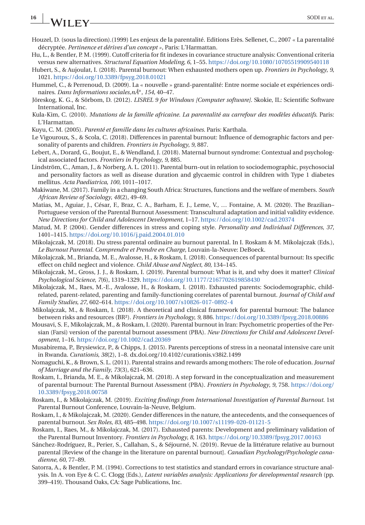# <span id="page-15-0"></span>**16** SODI et al.

- Houzel, D. (sous la direction).(1999) Les enjeux de la parentalité. Editions Erès. Sellenet, C., 2007 « La parentalité décryptée. *Pertinence et dérives d'un concept »*, Paris: L'Harmattan.
- Hu, L., & Bentler, P. M. (1999). Cutoff criteria for fit indexes in covariance structure analysis: Conventional criteria versus new alternatives. *Structural Equation Modeling*, *6*, 1–55. <https://doi.org/10.1080/10705519909540118>
- Hubert, S., & Aujoulat, I. (2018). Parental burnout: When exhausted mothers open up. *Frontiers in Psychology*, *9*, 1021. <https://doi.org/10.3389/fpsyg.2018.01021>
- Hummel, C., & Perrenoud, D. (2009). La « nouvelle » grand-parentalité: Entre norme sociale et expériences ordinaires. *Dans Informations sociales,nÂ*◦, *154*, 40–47.
- Jöreskog, K. G., & Sörbom, D. (2012). *LISREL 9 for Windows [Computer software]*. Skokie, IL: Scientific Software International, Inc.
- Kula-Kim, C. (2010). *Mutations de la famille africaine. La parentalité au carrefour des modèles éducatifs*. Paris: L'Harmattan.
- Kuyu, C. M. (2005). *Parenté et famille dans les cultures africaines*. Paris: Karthala.
- Le Vigouroux, S., & Scola, C. (2018). Differences in parental burnout: Influence of demographic factors and personality of parents and children. *Frontiers in Psychology*, *9*, 887.
- Lebert, A., Dorard, G., Boujut, E., & Wendland, J. (2018). Maternal burnout syndrome: Contextual and psychological associated factors. *Frontiers in Psychology*, *9*, 885.
- Lindström, C., Aman, J., & Norberg, A. L. (2011). Parental burn-out in relation to sociodemographic, psychosocial and personality factors as well as disease duration and glycaemic control in children with Type 1 diabetes mellitus. *Acta Paediatrica*, *100*, 1011–1017.
- Makiwane, M. (2017). Family in a changing South Africa: Structures, functions and the welfare of members. *South African Review of Sociology*, *48*(2), 49–69.
- Matias, M., Aguiar, J., César, F., Braz, C. A., Barham, E. J., Leme, V., … Fontaine, A. M. (2020). The Brazilian– Portuguese version of the Parental Burnout Assessment: Transcultural adaptation and initial validity evidence. *New Directions for Child and Adolescent Development*, 1–17. <https://doi.org/10.1002/cad.20374>
- Matud, M. P. (2004). Gender differences in stress and coping style. *Personality and Individual Differences*, *37*, 1401–1415. <https://doi.org/10.1016/j.paid.2004.01.010>
- Mikolajczak, M. (2018). Du stress parental ordinaire au burnout parental. In I. Roskam & M. Mikolajczak (Eds.), *Le Burnout Parental. Comprendre et Prendre en Charge*, Louvain-la-Neuve: DeBoeck.
- Mikolajczak, M., Brianda, M. E., Avalosse, H., & Roskam, I. (2018). Consequences of parental burnout: Its specific effect on child neglect and violence. *Child Abuse and Neglect*, *80*, 134–145.
- Mikolajczak, M., Gross, J. J., & Roskam, I. (2019). Parental burnout: What is it, and why does it matter? *Clinical Psychological Science*, *7*(6), 1319–1329. <https://doi.org/10.1177/2167702619858430>
- Mikolajczak, M., Raes, M.-E., Avalosse, H., & Roskam, I. (2018). Exhausted parents: Sociodemographic, childrelated, parent-related, parenting and family-functioning correlates of parental burnout. *Journal of Child and Family Studies*, *27*, 602–614. <https://doi.org/10.1007/s10826-017-0892-4>
- Mikolajczak, M., & Roskam, I. (2018). A theoretical and clinical framework for parental burnout: The balance between risks and resources (BR²). *Frontiers in Psychology*, *9*, 886. <https://doi.org/10.3389/fpsyg.2018.00886>
- Mousavi, S. F., Mikolajczak, M., & Roskam, I. (2020). Parental burnout in Iran: Psychometric properties of the Persian (Farsi) version of the parental burnout assessment (PBA). *New Directions for Child and Adolescent Development*, 1–16. <https://doi.org/10.1002/cad.20369>
- Musabirema, P., Brysiewicz, P., & Chipps, J. (2015). Parents perceptions of stress in a neonatal intensive care unit in Rwanda. *Curationis*, *38*(2), 1–8. dx.doi.org/10.4102/curationis.v38i2.1499
- Nomaguchi, K., & Brown, S. L. (2011). Parental strains and rewards among mothers: The role of education. *Journal of Marriage and the Family*, *73*(3), 621–636.
- Roskam, I., Brianda, M. E., & Mikolajczak, M. (2018). A step forward in the conceptualization and measurement of parental burnout: The Parental Burnout Assessment (PBA). *Frontiers in Psychology*, *9*, 758. [https://doi.org/](https://doi.org/10.3389/fpsyg.2018.00758) [10.3389/fpsyg.2018.00758](https://doi.org/10.3389/fpsyg.2018.00758)
- Roskam, I., & Mikolajczak, M. (2019). *Exciting findings from International Investigation of Parental Burnout*. 1st Parental Burnout Conference, Louvain-la-Neuve, Belgium.
- Roskam, I., & Mikolajczak, M. (2020). Gender differences in the nature, the antecedents, and the consequences of parental burnout. *Sex Roles*, *83*, 485–498. <https://doi.org/10.1007/s11199-020-01121-5>
- Roskam, I., Raes, M., & Mikolajczak, M. (2017). Exhausted parents: Development and preliminary validation of the Parental Burnout Inventory. *Frontiers in Psychology*, *8*, 163. <https://doi.org/10.3389/fpsyg.2017.00163>
- Sánchez-Rodríguez, R., Perier, S., Callahan, S., & Séjourné, N. (2019). Revue de la littérature relative au burnout parental [Review of the change in the literature on parental burnout]. *Canadian Psychology/Psychologie canadienne*, *60*, 77–89.
- Satorra, A., & Bentler, P. M. (1994). Corrections to test statistics and standard errors in covariance structure analysis. In A. von Eye & C. C. Clogg (Eds.), *Latent variables analysis: Applications for developmental research* (pp. 399–419). Thousand Oaks, CA: Sage Publications, Inc.